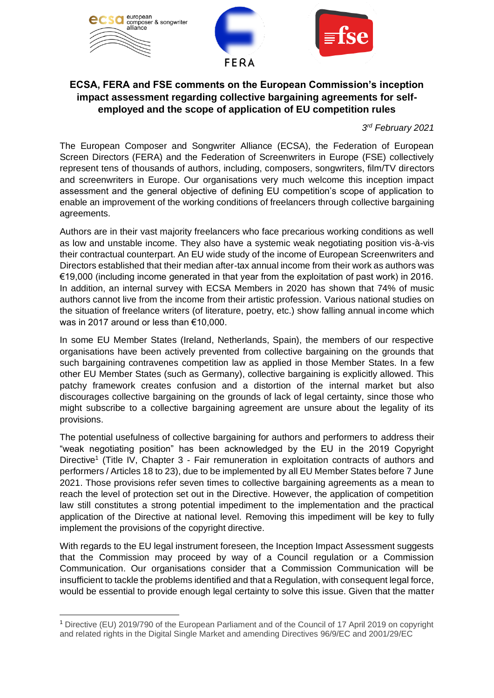

## **ECSA, FERA and FSE comments on the European Commission's inception impact assessment regarding collective bargaining agreements for selfemployed and the scope of application of EU competition rules**

*3 rd February 2021*

The European Composer and Songwriter Alliance (ECSA), the Federation of European Screen Directors (FERA) and the Federation of Screenwriters in Europe (FSE) collectively represent tens of thousands of authors, including, composers, songwriters, film/TV directors and screenwriters in Europe. Our organisations very much welcome this inception impact assessment and the general objective of defining EU competition's scope of application to enable an improvement of the working conditions of freelancers through collective bargaining agreements.

Authors are in their vast majority freelancers who face precarious working conditions as well as low and unstable income. They also have a systemic weak negotiating position vis-à-vis their contractual counterpart. An EU wide study of the income of European Screenwriters and Directors established that their median after-tax annual income from their work as authors was €19,000 (including income generated in that year from the exploitation of past work) in 2016. In addition, an internal survey with ECSA Members in 2020 has shown that 74% of music authors cannot live from the income from their artistic profession. Various national studies on the situation of freelance writers (of literature, poetry, etc.) show falling annual income which was in 2017 around or less than €10,000.

In some EU Member States (Ireland, Netherlands, Spain), the members of our respective organisations have been actively prevented from collective bargaining on the grounds that such bargaining contravenes competition law as applied in those Member States. In a few other EU Member States (such as Germany), collective bargaining is explicitly allowed. This patchy framework creates confusion and a distortion of the internal market but also discourages collective bargaining on the grounds of lack of legal certainty, since those who might subscribe to a collective bargaining agreement are unsure about the legality of its provisions.

The potential usefulness of collective bargaining for authors and performers to address their "weak negotiating position" has been acknowledged by the EU in the 2019 Copyright Directive<sup>1</sup> (Title IV, Chapter 3 - Fair remuneration in exploitation contracts of authors and performers / Articles 18 to 23), due to be implemented by all EU Member States before 7 June 2021. Those provisions refer seven times to collective bargaining agreements as a mean to reach the level of protection set out in the Directive. However, the application of competition law still constitutes a strong potential impediment to the implementation and the practical application of the Directive at national level. Removing this impediment will be key to fully implement the provisions of the copyright directive.

With regards to the EU legal instrument foreseen, the Inception Impact Assessment suggests that the Commission may proceed by way of a Council regulation or a Commission Communication. Our organisations consider that a Commission Communication will be insufficient to tackle the problems identified and that a Regulation, with consequent legal force, would be essential to provide enough legal certainty to solve this issue. Given that the matter

<sup>1</sup> Directive (EU) 2019/790 of the European Parliament and of the Council of 17 April 2019 on copyright and related rights in the Digital Single Market and amending Directives 96/9/EC and 2001/29/EC